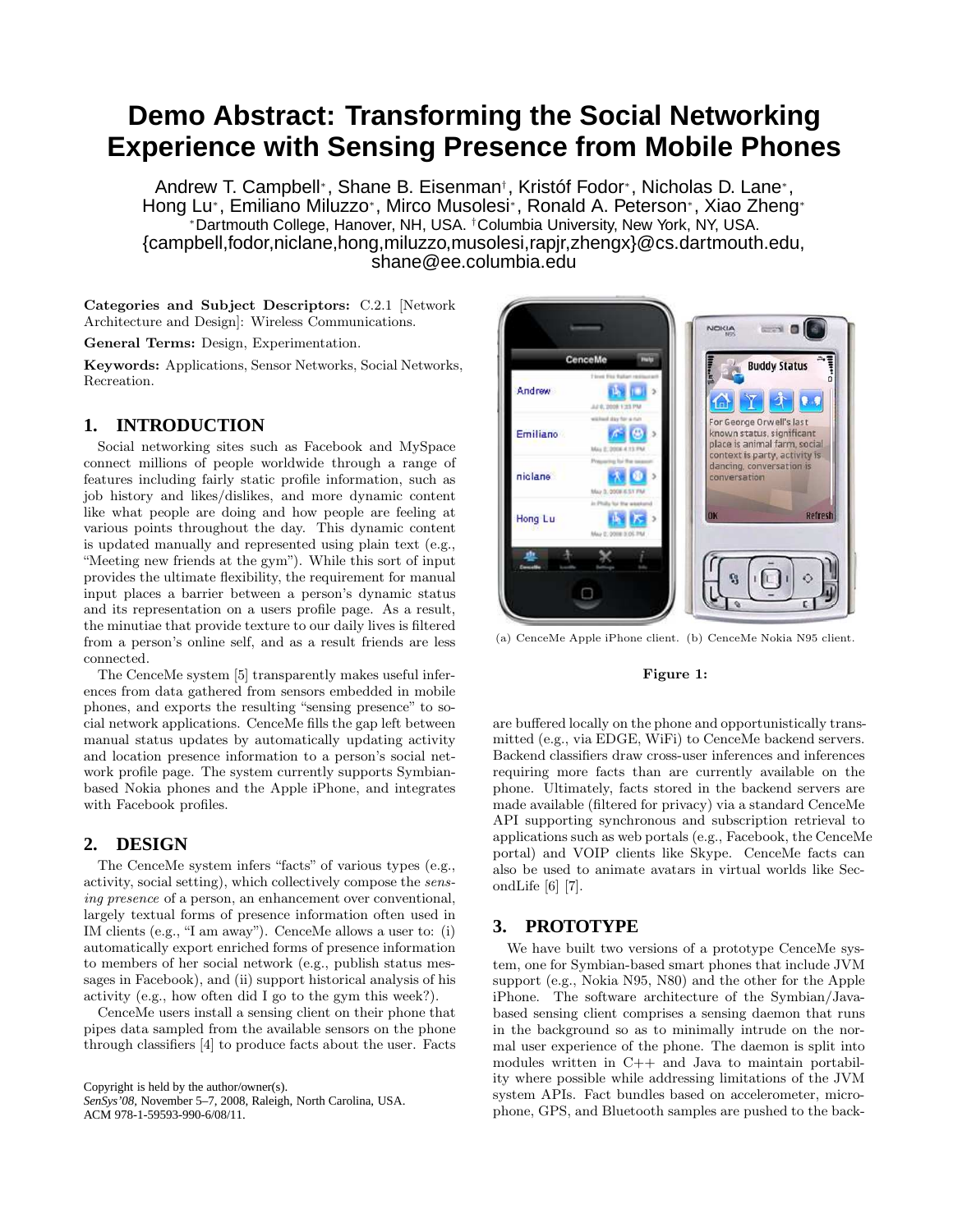# **Demo Abstract: Transforming the Social Networking Experience with Sensing Presence from Mobile Phones**

Andrew T. Campbell<sup>∗</sup> , Shane B. Eisenman† , Kristóf Fodor<sup>∗</sup> , Nicholas D. Lane<sup>∗</sup> , Hong Lu<sup>∗</sup> , Emiliano Miluzzo<sup>∗</sup> , Mirco Musolesi<sup>∗</sup> , Ronald A. Peterson<sup>∗</sup> , Xiao Zheng<sup>∗</sup> <sup>∗</sup>Dartmouth College, Hanover, NH, USA. †Columbia University, New York, NY, USA. {campbell,fodor,niclane,hong,miluzzo,musolesi,rapjr,zhengx}@cs.dartmouth.edu, shane@ee.columbia.edu

Categories and Subject Descriptors: C.2.1 [Network Architecture and Design]: Wireless Communications.

General Terms: Design, Experimentation.

Keywords: Applications, Sensor Networks, Social Networks, Recreation.

# **1. INTRODUCTION**

Social networking sites such as Facebook and MySpace connect millions of people worldwide through a range of features including fairly static profile information, such as job history and likes/dislikes, and more dynamic content like what people are doing and how people are feeling at various points throughout the day. This dynamic content is updated manually and represented using plain text (e.g., "Meeting new friends at the gym"). While this sort of input provides the ultimate flexibility, the requirement for manual input places a barrier between a person's dynamic status and its representation on a users profile page. As a result, the minutiae that provide texture to our daily lives is filtered from a person's online self, and as a result friends are less connected.

The CenceMe system [5] transparently makes useful inferences from data gathered from sensors embedded in mobile phones, and exports the resulting "sensing presence" to social network applications. CenceMe fills the gap left between manual status updates by automatically updating activity and location presence information to a person's social network profile page. The system currently supports Symbianbased Nokia phones and the Apple iPhone, and integrates with Facebook profiles.

# **2. DESIGN**

The CenceMe system infers "facts" of various types (e.g., activity, social setting), which collectively compose the sensing presence of a person, an enhancement over conventional, largely textual forms of presence information often used in IM clients (e.g., "I am away"). CenceMe allows a user to: (i) automatically export enriched forms of presence information to members of her social network (e.g., publish status messages in Facebook), and (ii) support historical analysis of his activity (e.g., how often did I go to the gym this week?).

CenceMe users install a sensing client on their phone that pipes data sampled from the available sensors on the phone through classifiers [4] to produce facts about the user. Facts

Copyright is held by the author/owner(s). *SenSys'08,* November 5–7, 2008, Raleigh, North Carolina, USA. ACM 978-1-59593-990-6/08/11.



(a) CenceMe Apple iPhone client. (b) CenceMe Nokia N95 client.

#### Figure 1:

are buffered locally on the phone and opportunistically transmitted (e.g., via EDGE, WiFi) to CenceMe backend servers. Backend classifiers draw cross-user inferences and inferences requiring more facts than are currently available on the phone. Ultimately, facts stored in the backend servers are made available (filtered for privacy) via a standard CenceMe API supporting synchronous and subscription retrieval to applications such as web portals (e.g., Facebook, the CenceMe portal) and VOIP clients like Skype. CenceMe facts can also be used to animate avatars in virtual worlds like SecondLife [6] [7].

# **3. PROTOTYPE**

We have built two versions of a prototype CenceMe system, one for Symbian-based smart phones that include JVM support (e.g., Nokia N95, N80) and the other for the Apple iPhone. The software architecture of the Symbian/Javabased sensing client comprises a sensing daemon that runs in the background so as to minimally intrude on the normal user experience of the phone. The daemon is split into modules written in C++ and Java to maintain portability where possible while addressing limitations of the JVM system APIs. Fact bundles based on accelerometer, microphone, GPS, and Bluetooth samples are pushed to the back-